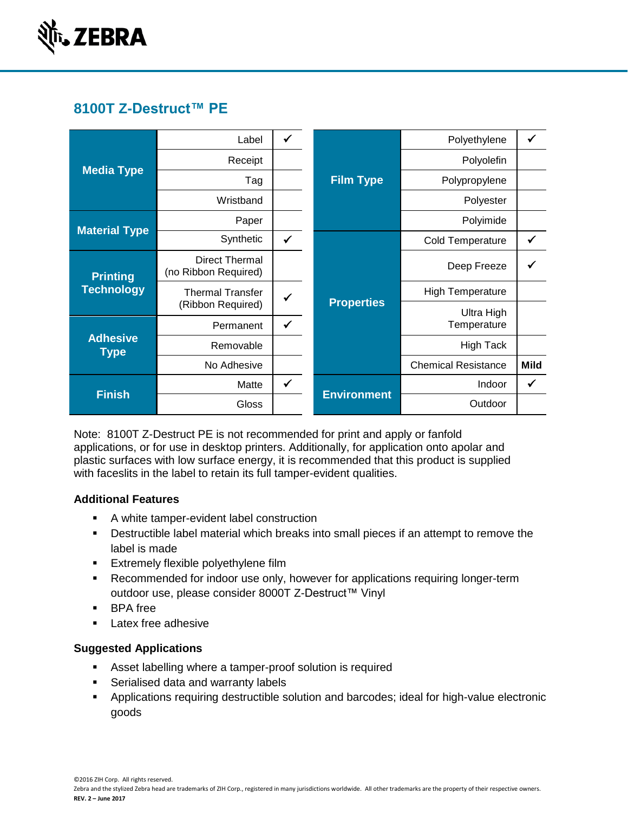

# **8100T Z-Destruct™ PE**

| <b>Media Type</b>                    | Label                                         | ✓            | <b>Film Type</b>   | Polyethylene               |             |
|--------------------------------------|-----------------------------------------------|--------------|--------------------|----------------------------|-------------|
|                                      | Receipt                                       |              |                    | Polyolefin                 |             |
|                                      | Tag                                           |              |                    | Polypropylene              |             |
|                                      | Wristband                                     |              |                    | Polyester                  |             |
| <b>Material Type</b>                 | Paper                                         |              |                    | Polyimide                  |             |
|                                      | Synthetic                                     | $\checkmark$ | <b>Properties</b>  | <b>Cold Temperature</b>    |             |
| <b>Printing</b><br><b>Technology</b> | <b>Direct Thermal</b><br>(no Ribbon Required) |              |                    | Deep Freeze                |             |
|                                      | <b>Thermal Transfer</b>                       |              |                    | <b>High Temperature</b>    |             |
|                                      | (Ribbon Required)                             |              |                    | Ultra High                 |             |
| <b>Adhesive</b><br><b>Type</b>       | Permanent                                     | ✓            |                    | Temperature                |             |
|                                      | Removable                                     |              |                    | <b>High Tack</b>           |             |
|                                      | No Adhesive                                   |              |                    | <b>Chemical Resistance</b> | <b>Mild</b> |
| <b>Finish</b>                        | Matte                                         | ✓            | <b>Environment</b> | Indoor                     | ✔           |
|                                      | Gloss                                         |              |                    | Outdoor                    |             |

Note: 8100T Z-Destruct PE is not recommended for print and apply or fanfold applications, or for use in desktop printers. Additionally, for application onto apolar and plastic surfaces with low surface energy, it is recommended that this product is supplied with faceslits in the label to retain its full tamper-evident qualities.

### **Additional Features**

- A white tamper-evident label construction
- Destructible label material which breaks into small pieces if an attempt to remove the label is made
- **Extremely flexible polyethylene film**
- **Recommended for indoor use only, however for applications requiring longer-term** outdoor use, please consider 8000T Z-Destruct™ Vinyl
- **BPA** free
- **Latex free adhesive**

### **Suggested Applications**

- Asset labelling where a tamper-proof solution is required
- **Serialised data and warranty labels**
- Applications requiring destructible solution and barcodes; ideal for high-value electronic goods